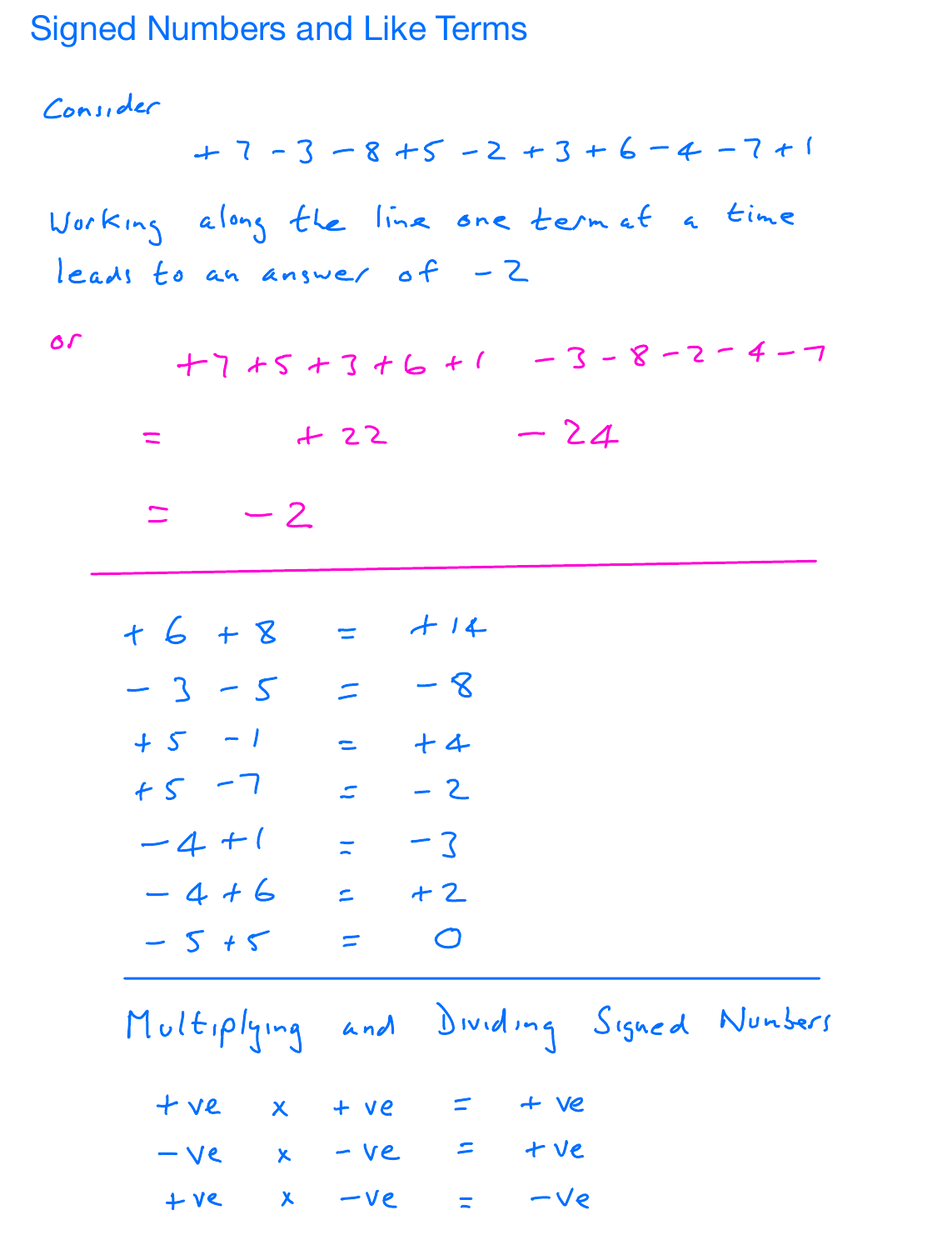## Signed Numbers and Like Terms

Consider

\n
$$
+7 - 3 - 8 + 5 - 2 + 3 + 6 - 4 - 7 + 1
$$
\nWorking along the line are term at a time

\nleads to an answer, of -2

\nor

\n
$$
+7 + 5 + 3 + 6 + 1 - 3 - 8 - 2 - 4 - 7
$$
\n
$$
= +22 - 24
$$
\n
$$
= -2
$$
\n
$$
+6 + 8 = +14
$$
\n
$$
-3 - 5 = -8
$$
\n
$$
+5 - 1 = +4
$$
\n
$$
+5 - 7 = -2
$$
\n
$$
-4 + 1 = -3
$$
\n
$$
-4 + 6 = +2
$$
\n
$$
-5 + 5 = 0
$$
\nMultiplying and Dividing Signal Numbers

\n
$$
+ ve = x - ve = +ve
$$
\n
$$
+ ve = x - ve = -ve
$$
\nHere

\n
$$
+ ve = -ve
$$
\n
$$
+ ve = -ve
$$
\n
$$
+ ve = -ve
$$
\n
$$
+ ve = -ve
$$
\n
$$
+ve = -ve = -ve
$$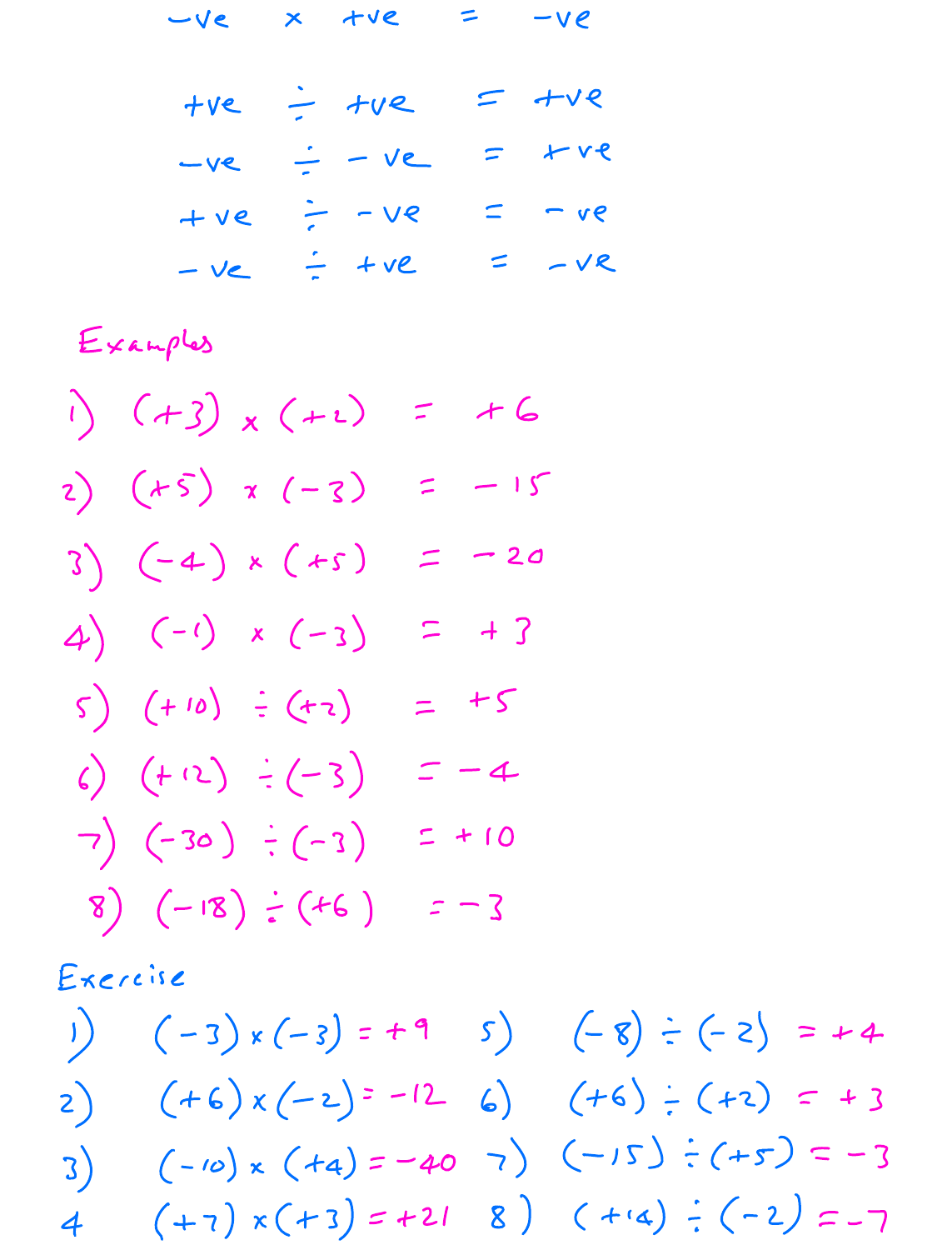$-ve \times 1ve = -ve$ 

$$
+ve \div +ve
$$
\n
$$
-ve \div = -ve
$$
\n
$$
+ve \div = -ve
$$
\n
$$
+ve \div = -ve
$$
\n
$$
-ve \div = -ve
$$
\n
$$
-ve \div = -ve
$$
\n
$$
-ve \div = -ve
$$
\n
$$
-ve \div = -ve
$$

Examples

$$
(\frac{1}{2}) (1+3) \times (+2) = +6
$$
  
\n
$$
2) (1+5) \times (-3) = -15
$$
  
\n
$$
3) (-4) \times (+5) = -20
$$
  
\n
$$
4) (-1) \times (-3) = +3
$$
  
\n
$$
5) (+10) \div (+2) = -4
$$
  
\n
$$
6) (+12) \div (-3) = -4
$$
  
\n
$$
7) (-30) \div (-3) = +10
$$
  
\n
$$
8) (-18) \div (+6) = -3
$$

Exercise

$$
(-3) \times (-3) = +9
$$
  
\n
$$
(-5) \div (-3) = +4
$$
  
\n
$$
(-2) \div (-2) = -12
$$
  
\n
$$
(-6) \div (-2) = -12
$$
  
\n
$$
(-15) \div (-5) = -3
$$
  
\n
$$
(-15) \div (-5) = -3
$$
  
\n
$$
(-15) \div (-5) = -3
$$
  
\n
$$
(-15) \div (-5) = -3
$$
  
\n
$$
(-15) \div (-5) = -3
$$